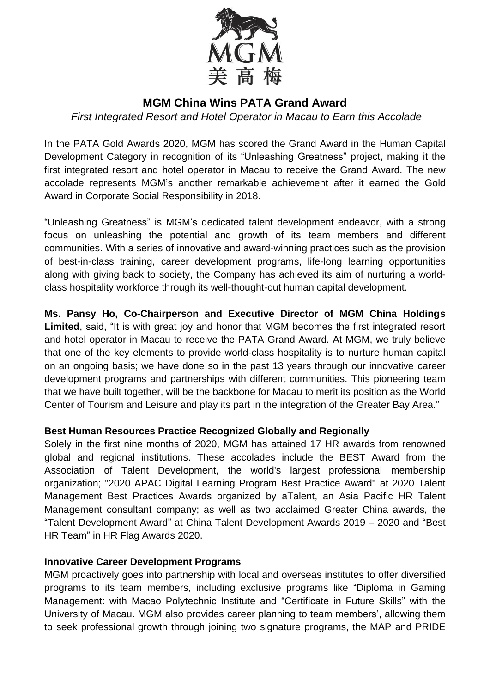

# **MGM China Wins PATA Grand Award**

*First Integrated Resort and Hotel Operator in Macau to Earn this Accolade*

In the PATA Gold Awards 2020, MGM has scored the Grand Award in the Human Capital Development Category in recognition of its "Unleashing Greatness" project, making it the first integrated resort and hotel operator in Macau to receive the Grand Award. The new accolade represents MGM's another remarkable achievement after it earned the Gold Award in Corporate Social Responsibility in 2018.

"Unleashing Greatness" is MGM's dedicated talent development endeavor, with a strong focus on unleashing the potential and growth of its team members and different communities. With a series of innovative and award-winning practices such as the provision of best-in-class training, career development programs, life-long learning opportunities along with giving back to society, the Company has achieved its aim of nurturing a worldclass hospitality workforce through its well-thought-out human capital development.

**Ms. Pansy Ho, Co-Chairperson and Executive Director of MGM China Holdings** Limited, said, "It is with great joy and honor that MGM becomes the first integrated resort and hotel operator in Macau to receive the PATA Grand Award. At MGM, we truly believe that one of the key elements to provide world-class hospitality is to nurture human capital on an ongoing basis; we have done so in the past 13 years through our innovative career development programs and partnerships with different communities. This pioneering team that we have built together, will be the backbone for Macau to merit its position as the World Center of Tourism and Leisure and play its part in the integration of the Greater Bay Area."

### **Best Human Resources Practice Recognized Globally and Regionally**

Solely in the first nine months of 2020, MGM has attained 17 HR awards from renowned global and regional institutions. These accolades include the BEST Award from the Association of Talent Development, the world's largest professional membership organization; "2020 APAC Digital Learning Program Best Practice Award" at 2020 Talent Management Best Practices Awards organized by aTalent, an Asia Pacific HR Talent Management consultant company; as well as two acclaimed Greater China awards, the "Talent Development Award" at China Talent Development Awards 2019 – 2020 and "Best HR Team" in HR Flag Awards 2020.

### **Innovative Career Development Programs**

MGM proactively goes into partnership with local and overseas institutes to offer diversified programs to its team members, including exclusive programs like "Diploma in Gaming Management: with Macao Polytechnic Institute and "Certificate in Future Skills" with the University of Macau. MGM also provides career planning to team members', allowing them to seek professional growth through joining two signature programs, the MAP and PRIDE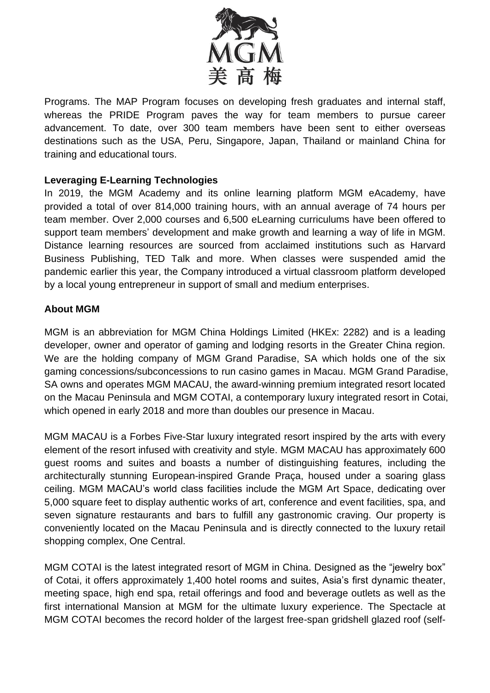

Programs. The MAP Program focuses on developing fresh graduates and internal staff, whereas the PRIDE Program paves the way for team members to pursue career advancement. To date, over 300 team members have been sent to either overseas destinations such as the USA, Peru, Singapore, Japan, Thailand or mainland China for training and educational tours.

## **Leveraging E-Learning Technologies**

In 2019, the MGM Academy and its online learning platform MGM eAcademy, have provided a total of over 814,000 training hours, with an annual average of 74 hours per team member. Over 2,000 courses and 6,500 eLearning curriculums have been offered to support team members' development and make growth and learning a way of life in MGM. Distance learning resources are sourced from acclaimed institutions such as Harvard Business Publishing, TED Talk and more. When classes were suspended amid the pandemic earlier this year, the Company introduced a virtual classroom platform developed by a local young entrepreneur in support of small and medium enterprises.

### **About MGM**

MGM is an abbreviation for MGM China Holdings Limited (HKEx: 2282) and is a leading developer, owner and operator of gaming and lodging resorts in the Greater China region. We are the holding company of MGM Grand Paradise, SA which holds one of the six gaming concessions/subconcessions to run casino games in Macau. MGM Grand Paradise, SA owns and operates MGM MACAU, the award-winning premium integrated resort located on the Macau Peninsula and MGM COTAI, a contemporary luxury integrated resort in Cotai, which opened in early 2018 and more than doubles our presence in Macau.

MGM MACAU is a Forbes Five-Star luxury integrated resort inspired by the arts with every element of the resort infused with creativity and style. MGM MACAU has approximately 600 guest rooms and suites and boasts a number of distinguishing features, including the architecturally stunning European-inspired Grande Praça, housed under a soaring glass ceiling. MGM MACAU's world class facilities include the MGM Art Space, dedicating over 5,000 square feet to display authentic works of art, conference and event facilities, spa, and seven signature restaurants and bars to fulfill any gastronomic craving. Our property is conveniently located on the Macau Peninsula and is directly connected to the luxury retail shopping complex, One Central.

MGM COTAI is the latest integrated resort of MGM in China. Designed as the "jewelry box" of Cotai, it offers approximately 1,400 hotel rooms and suites, Asia's first dynamic theater, meeting space, high end spa, retail offerings and food and beverage outlets as well as the first international Mansion at MGM for the ultimate luxury experience. The Spectacle at MGM COTAI becomes the record holder of the largest free-span gridshell glazed roof (self-